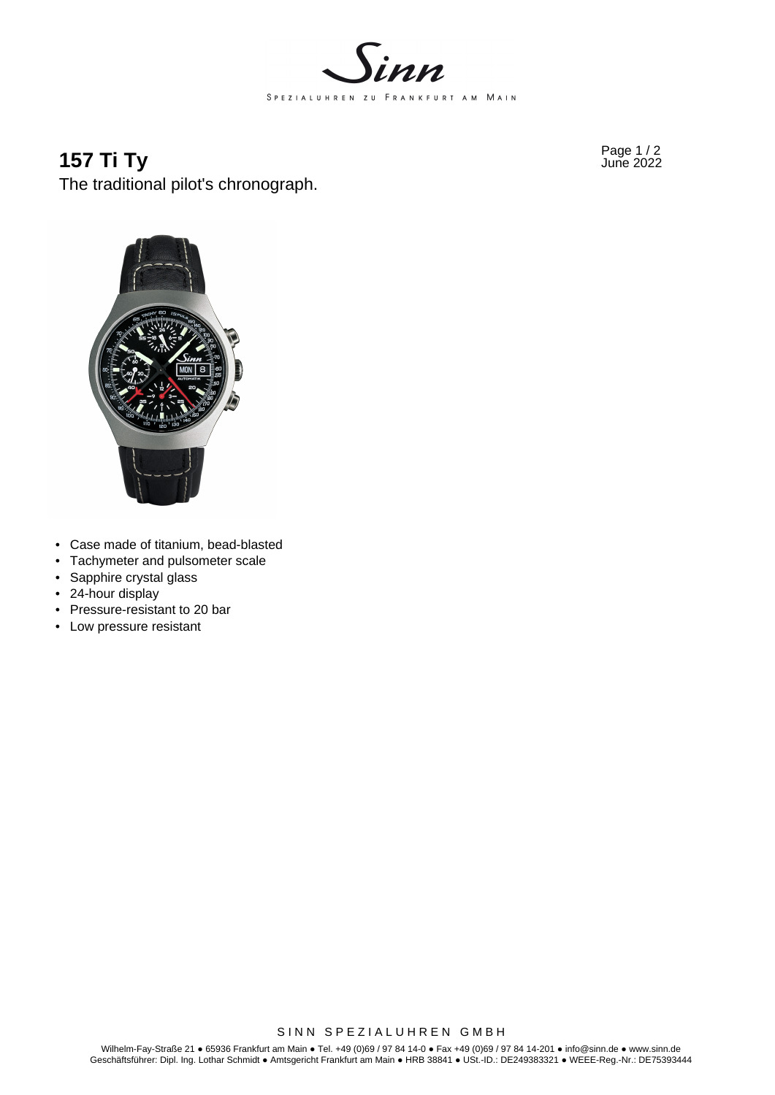

# **157 Ti Ty** Page 1/2 June 2022

The traditional pilot's chronograph.



- Case made of titanium, bead-blasted
- Tachymeter and pulsometer scale
- Sapphire crystal glass
- 24-hour display
- Pressure-resistant to 20 bar
- Low pressure resistant